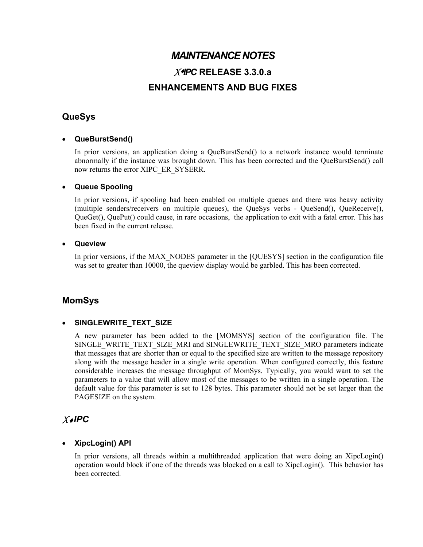# *MAINTENANCE NOTES XIPC* **RELEASE 3.3.0.a ENHANCEMENTS AND BUG FIXES**

# **QueSys**

## • **QueBurstSend()**

In prior versions, an application doing a QueBurstSend() to a network instance would terminate abnormally if the instance was brought down. This has been corrected and the QueBurstSend() call now returns the error XIPC\_ER\_SYSERR.

#### • **Queue Spooling**

In prior versions, if spooling had been enabled on multiple queues and there was heavy activity (multiple senders/receivers on multiple queues), the QueSys verbs - QueSend(), QueReceive(), QueGet(), QuePut() could cause, in rare occasions, the application to exit with a fatal error. This has been fixed in the current release.

#### • **Queview**

In prior versions, if the MAX\_NODES parameter in the [QUESYS] section in the configuration file was set to greater than 10000, the queview display would be garbled. This has been corrected.

## **MomSys**

#### • **SINGLEWRITE\_TEXT\_SIZE**

A new parameter has been added to the [MOMSYS] section of the configuration file. The SINGLE\_WRITE\_TEXT\_SIZE\_MRI and SINGLEWRITE\_TEXT\_SIZE\_MRO parameters indicate that messages that are shorter than or equal to the specified size are written to the message repository along with the message header in a single write operation. When configured correctly, this feature considerable increases the message throughput of MomSys. Typically, you would want to set the parameters to a value that will allow most of the messages to be written in a single operation. The default value for this parameter is set to 128 bytes. This parameter should not be set larger than the PAGESIZE on the system.

# *X*♦*IPC*

#### • **XipcLogin() API**

In prior versions, all threads within a multithreaded application that were doing an XipcLogin() operation would block if one of the threads was blocked on a call to XipcLogin(). This behavior has been corrected.